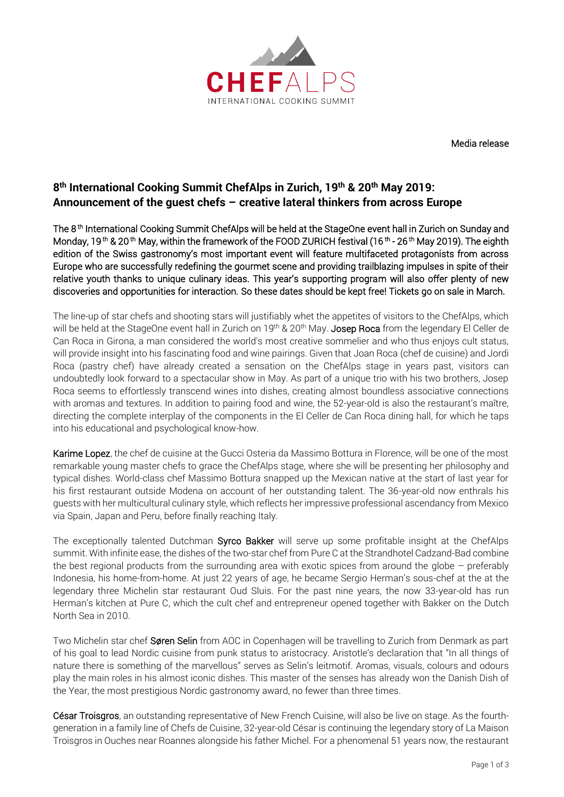

Media release

# **8 th International Cooking Summit ChefAlps in Zurich, 19th & 20th May 2019: Announcement of the guest chefs – creative lateral thinkers from across Europe**

The 8th International Cooking Summit ChefAlps will be held at the StageOne event hall in Zurich on Sunday and Monday, 19 <sup>th</sup> & 20 <sup>th</sup> May, within the framework of the FOOD ZURICH festival (16 <sup>th</sup> - 26 <sup>th</sup> May 2019). The eighth edition of the Swiss gastronomy's most important event will feature multifaceted protagonists from across Europe who are successfully redefining the gourmet scene and providing trailblazing impulses in spite of their relative youth thanks to unique culinary ideas. This year's supporting program will also offer plenty of new discoveries and opportunities for interaction. So these dates should be kept free! Tickets go on sale in March.

The line-up of star chefs and shooting stars will justifiably whet the appetites of visitors to the ChefAlps, which will be held at the StageOne event hall in Zurich on 19<sup>th</sup> & 20<sup>th</sup> May. Josep Roca from the legendary El Celler de Can Roca in Girona, a man considered the world's most creative sommelier and who thus enjoys cult status, will provide insight into his fascinating food and wine pairings. Given that Joan Roca (chef de cuisine) and Jordi Roca (pastry chef) have already created a sensation on the ChefAlps stage in years past, visitors can undoubtedly look forward to a spectacular show in May. As part of a unique trio with his two brothers, Josep Roca seems to effortlessly transcend wines into dishes, creating almost boundless associative connections with aromas and textures. In addition to pairing food and wine, the 52-year-old is also the restaurant's maître, directing the complete interplay of the components in the El Celler de Can Roca dining hall, for which he taps into his educational and psychological know-how.

Karime Lopez, the chef de cuisine at the Gucci Osteria da Massimo Bottura in Florence, will be one of the most remarkable young master chefs to grace the ChefAlps stage, where she will be presenting her philosophy and typical dishes. World-class chef Massimo Bottura snapped up the Mexican native at the start of last year for his first restaurant outside Modena on account of her outstanding talent. The 36-year-old now enthrals his guests with her multicultural culinary style, which reflects her impressive professional ascendancy from Mexico via Spain, Japan and Peru, before finally reaching Italy.

The exceptionally talented Dutchman Syrco Bakker will serve up some profitable insight at the ChefAlps summit. With infinite ease, the dishes of the two-star chef from Pure C at the Strandhotel Cadzand-Bad combine the best regional products from the surrounding area with exotic spices from around the globe – preferably Indonesia, his home-from-home. At just 22 years of age, he became Sergio Herman's sous-chef at the at the legendary three Michelin star restaurant Oud Sluis. For the past nine years, the now 33-year-old has run Herman's kitchen at Pure C, which the cult chef and entrepreneur opened together with Bakker on the Dutch North Sea in 2010.

Two Michelin star chef Søren Selin from AOC in Copenhagen will be travelling to Zurich from Denmark as part of his goal to lead Nordic cuisine from punk status to aristocracy. Aristotle's declaration that "In all things of nature there is something of the marvellous" serves as Selin's leitmotif. Aromas, visuals, colours and odours play the main roles in his almost iconic dishes. This master of the senses has already won the Danish Dish of the Year, the most prestigious Nordic gastronomy award, no fewer than three times.

César Troisgros, an outstanding representative of New French Cuisine, will also be live on stage. As the fourthgeneration in a family line of Chefs de Cuisine, 32-year-old César is continuing the legendary story of La Maison Troisgros in Ouches near Roannes alongside his father Michel. For a phenomenal 51 years now, the restaurant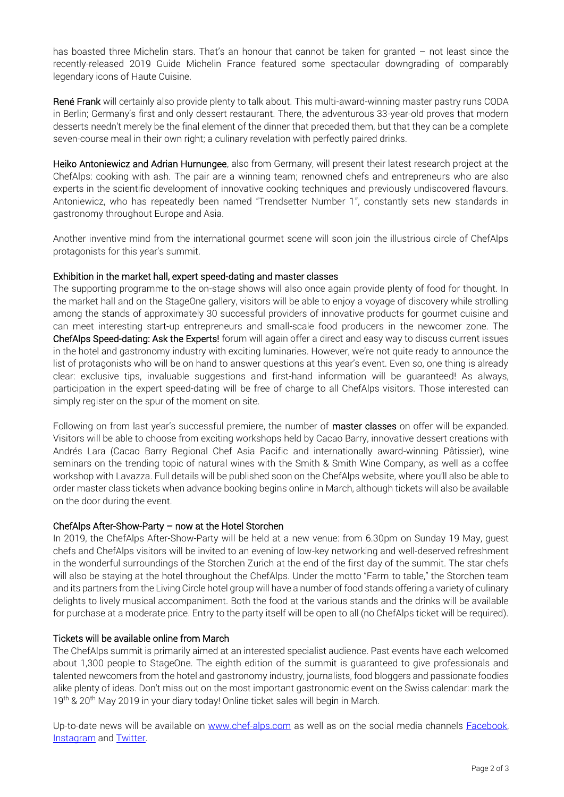has boasted three Michelin stars. That's an honour that cannot be taken for granted – not least since the recently-released 2019 Guide Michelin France featured some spectacular downgrading of comparably legendary icons of Haute Cuisine.

René Frank will certainly also provide plenty to talk about. This multi-award-winning master pastry runs CODA in Berlin; Germany's first and only dessert restaurant. There, the adventurous 33-year-old proves that modern desserts needn't merely be the final element of the dinner that preceded them, but that they can be a complete seven-course meal in their own right; a culinary revelation with perfectly paired drinks.

Heiko Antoniewicz and Adrian Hurnungee, also from Germany, will present their latest research project at the ChefAlps: cooking with ash. The pair are a winning team; renowned chefs and entrepreneurs who are also experts in the scientific development of innovative cooking techniques and previously undiscovered flavours. Antoniewicz, who has repeatedly been named "Trendsetter Number 1", constantly sets new standards in gastronomy throughout Europe and Asia.

Another inventive mind from the international gourmet scene will soon join the illustrious circle of ChefAlps protagonists for this year's summit.

## Exhibition in the market hall, expert speed-dating and master classes

The supporting programme to the on-stage shows will also once again provide plenty of food for thought. In the market hall and on the StageOne gallery, visitors will be able to enjoy a voyage of discovery while strolling among the stands of approximately 30 successful providers of innovative products for gourmet cuisine and can meet interesting start-up entrepreneurs and small-scale food producers in the newcomer zone. The ChefAlps Speed-dating: Ask the Experts! forum will again offer a direct and easy way to discuss current issues in the hotel and gastronomy industry with exciting luminaries. However, we're not quite ready to announce the list of protagonists who will be on hand to answer questions at this year's event. Even so, one thing is already clear: exclusive tips, invaluable suggestions and first-hand information will be guaranteed! As always, participation in the expert speed-dating will be free of charge to all ChefAlps visitors. Those interested can simply register on the spur of the moment on site.

Following on from last year's successful premiere, the number of master classes on offer will be expanded. Visitors will be able to choose from exciting workshops held by Cacao Barry, innovative dessert creations with Andrés Lara (Cacao Barry Regional Chef Asia Pacific and internationally award-winning Pâtissier), wine seminars on the trending topic of natural wines with the Smith & Smith Wine Company, as well as a coffee workshop with Lavazza. Full details will be published soon on the ChefAlps website, where you'll also be able to order master class tickets when advance booking begins online in March, although tickets will also be available on the door during the event.

#### ChefAlps After-Show-Party – now at the Hotel Storchen

In 2019, the ChefAlps After-Show-Party will be held at a new venue: from 6.30pm on Sunday 19 May, guest chefs and ChefAlps visitors will be invited to an evening of low-key networking and well-deserved refreshment in the wonderful surroundings of the Storchen Zurich at the end of the first day of the summit. The star chefs will also be staying at the hotel throughout the ChefAlps. Under the motto "Farm to table," the Storchen team and its partners from the Living Circle hotel group will have a number of food stands offering a variety of culinary delights to lively musical accompaniment. Both the food at the various stands and the drinks will be available for purchase at a moderate price. Entry to the party itself will be open to all (no ChefAlps ticket will be required).

# Tickets will be available online from March

The ChefAlps summit is primarily aimed at an interested specialist audience. Past events have each welcomed about 1,300 people to StageOne. The eighth edition of the summit is guaranteed to give professionals and talented newcomers from the hotel and gastronomy industry, journalists, food bloggers and passionate foodies alike plenty of ideas. Don't miss out on the most important gastronomic event on the Swiss calendar: mark the 19<sup>th</sup> & 20<sup>th</sup> May 2019 in your diary today! Online ticket sales will begin in March.

Up-to-date news will be available on [www.chef-alps.com](http://www.chef-alps.com/) as well as on the social media channels **Facebook**, [Instagram](https://www.instagram.com/chefalps/) an[d Twitter.](https://twitter.com/chefalps)